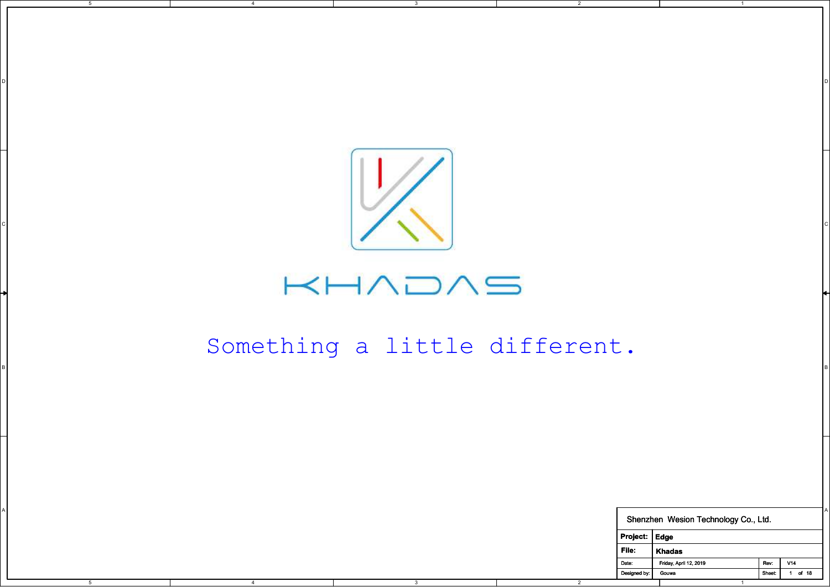

3

D I DO NOTES AND THE RESERVE TO A RESERVE THE RESERVE TO A RESERVE THE RESERVE TO A RESERVE THE RESERVE TO A R

2

5

4

## $\mathsf{KHADAS}$

## Something a little different.

|      |      | Something a little different. |                |               |                                      |      |                |
|------|------|-------------------------------|----------------|---------------|--------------------------------------|------|----------------|
|      |      |                               |                |               |                                      |      |                |
|      |      |                               |                |               |                                      |      |                |
|      |      |                               |                |               |                                      |      |                |
|      |      |                               |                |               |                                      |      |                |
|      |      |                               |                |               |                                      |      |                |
|      |      |                               |                |               | Shenzhen Wesion Technology Co., Ltd. |      |                |
|      |      |                               |                | Project: Edge |                                      |      |                |
|      |      |                               | File:          |               | Khadas                               |      |                |
|      |      |                               | Date:          |               | Friday, April 12, 2019               | Rev: | V14            |
| $-5$ | $-4$ | $\overline{\textbf{3}}$       | $\overline{2}$ | Designed by:  | Gouwa<br>$\overline{1}$              |      | Sheet: 1 of 18 |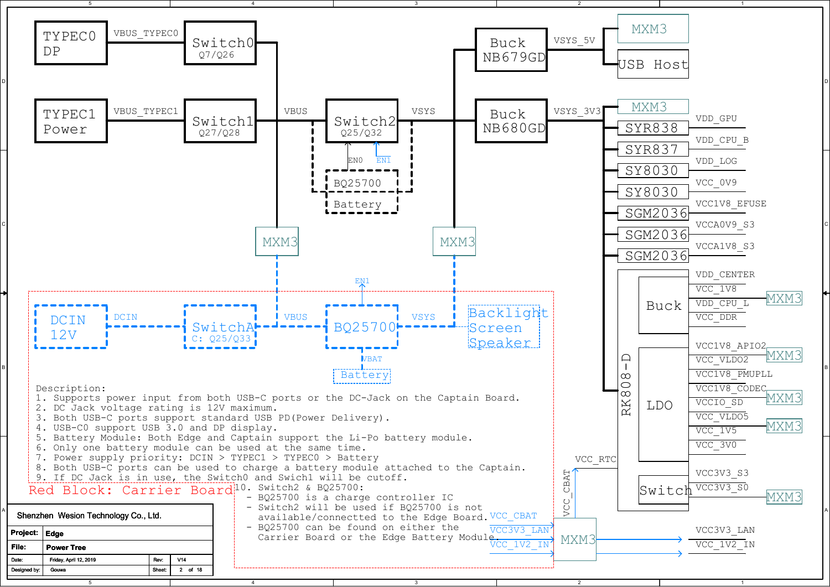

3

5

4

2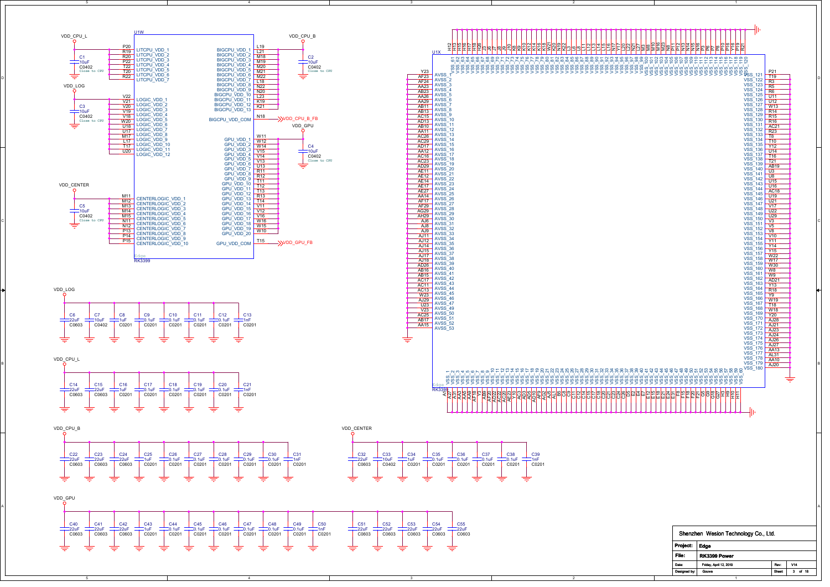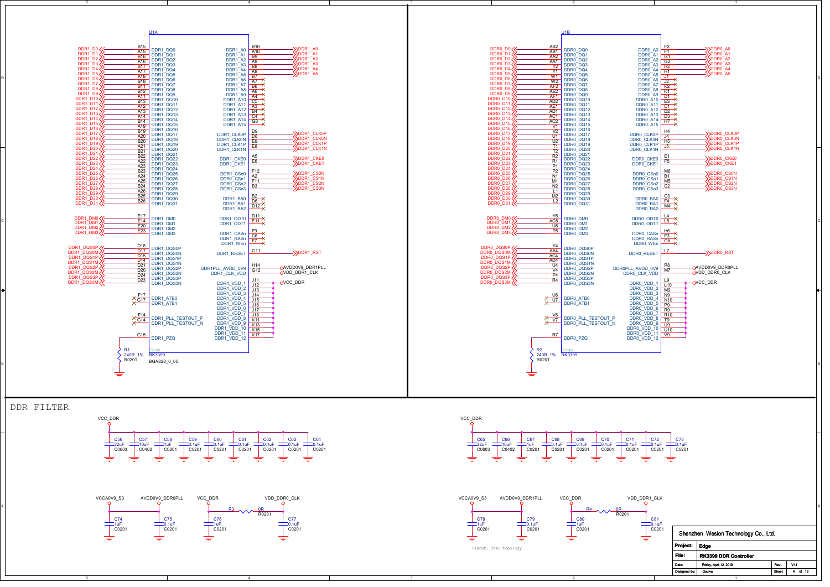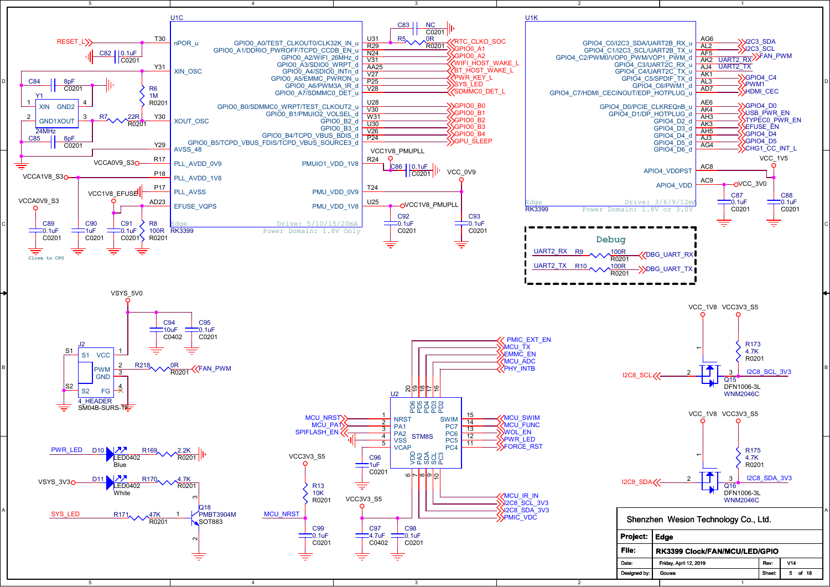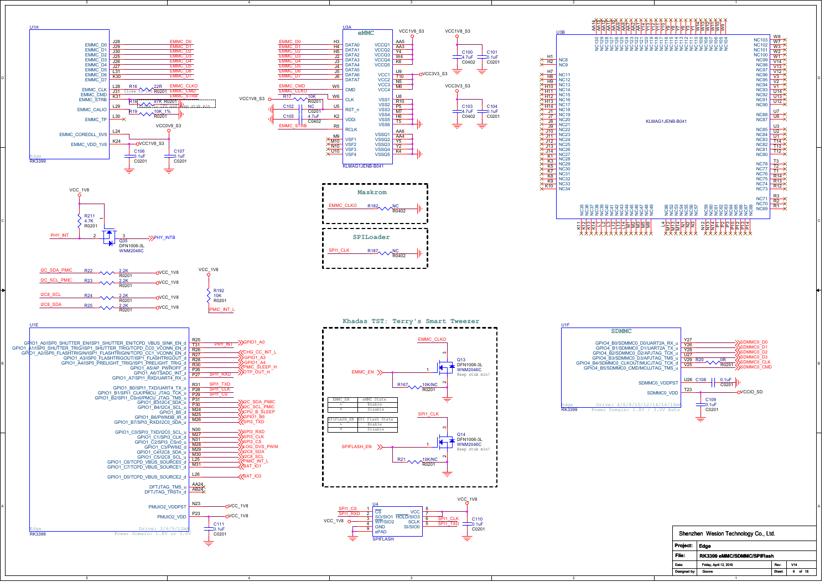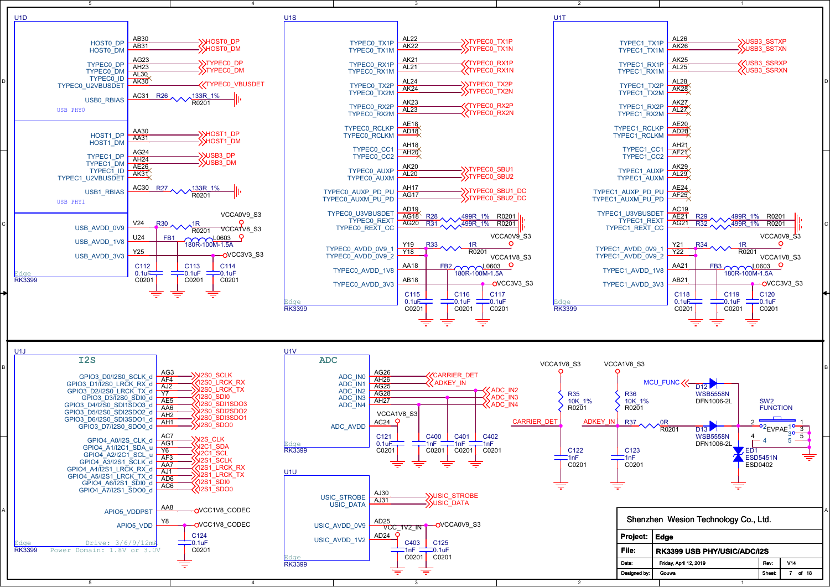

=

3

ᆕ

2

1

4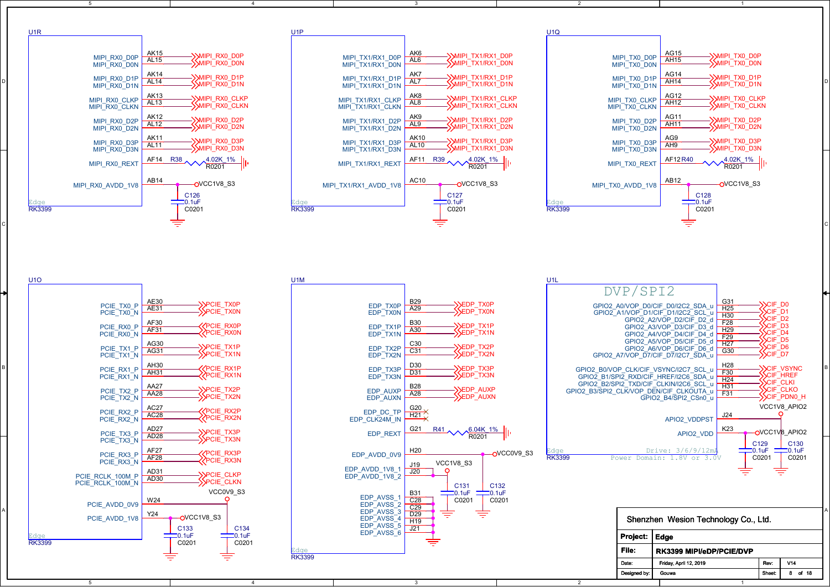| U <sub>1</sub> R |                                                                                                                                                                                                                                                                                                                                                                                                                                                                |                                                                                                                                                                                                                                                                                                                                       | U <sub>1</sub> P                                                                                                                                                                                                                            |                                                                                                                                                                                                                                                                                                                                                       | U <sub>1Q</sub>                                                                            |                                                                                                                                                                                                                                                                                                                                                                                                                                                                                                                   |                                                                                                    |                                                                                                                                                                                                                                                                                                   |                                                  |
|------------------|----------------------------------------------------------------------------------------------------------------------------------------------------------------------------------------------------------------------------------------------------------------------------------------------------------------------------------------------------------------------------------------------------------------------------------------------------------------|---------------------------------------------------------------------------------------------------------------------------------------------------------------------------------------------------------------------------------------------------------------------------------------------------------------------------------------|---------------------------------------------------------------------------------------------------------------------------------------------------------------------------------------------------------------------------------------------|-------------------------------------------------------------------------------------------------------------------------------------------------------------------------------------------------------------------------------------------------------------------------------------------------------------------------------------------------------|--------------------------------------------------------------------------------------------|-------------------------------------------------------------------------------------------------------------------------------------------------------------------------------------------------------------------------------------------------------------------------------------------------------------------------------------------------------------------------------------------------------------------------------------------------------------------------------------------------------------------|----------------------------------------------------------------------------------------------------|---------------------------------------------------------------------------------------------------------------------------------------------------------------------------------------------------------------------------------------------------------------------------------------------------|--------------------------------------------------|
|                  | AK15<br>MIPI_RX0_D0P<br>MIPI_RX0_D0N<br><b>AL15</b>                                                                                                                                                                                                                                                                                                                                                                                                            | ->>MIPI_RX0_D0P<br>-SMIPI_RXO_DON                                                                                                                                                                                                                                                                                                     | MIPI_TX1/RX1_D0P ARD<br>MIPI_TX1/RX1_D0N AL6                                                                                                                                                                                                | AK6<br>->>MIPI_TX1/RX1_D0P<br>->>MIPI_TX1/RX1_D0N                                                                                                                                                                                                                                                                                                     |                                                                                            | AG15<br>MIPI_TX0_D0P<br>MIPI_TX0_D0N<br>MIPI_TX0_D0N                                                                                                                                                                                                                                                                                                                                                                                                                                                              | ->>MIPI_TX0_D0P<br>->>MIPI_TX0_D0N                                                                 |                                                                                                                                                                                                                                                                                                   |                                                  |
|                  | AK14<br>MIPI_RX0_D1P<br>MIPI_RX0_D1N<br>AL14                                                                                                                                                                                                                                                                                                                                                                                                                   | <b>SMIPI RX0 D1P</b><br><b>SMIPI_RXO_D1N</b>                                                                                                                                                                                                                                                                                          | MIPI_TX1/RX1_D1P<br>MIPI_TX1/RX1_D1N                                                                                                                                                                                                        | AK7<br>->>MIPI TX1/RX1 D1P<br>AL7<br>-SMIPI_TX1/RX1_D1N                                                                                                                                                                                                                                                                                               |                                                                                            | <b>AG14</b><br>MIPI_TX0_D1P<br>MIPI_TX0_D1N<br>AH14                                                                                                                                                                                                                                                                                                                                                                                                                                                               | —∑MIPI_TX0_D1P<br>—∑MIPI_TX0_D1N                                                                   |                                                                                                                                                                                                                                                                                                   |                                                  |
|                  | AK13<br>AL13<br>MIPI_RX0_CLKP<br>MIPI_RX0_CLKN                                                                                                                                                                                                                                                                                                                                                                                                                 | <b>SMIPI_RXO_CLKP</b><br>SMIPI_RX0_CLKN                                                                                                                                                                                                                                                                                               | MIPI_TX1/RX1_CLKP<br>MIPI_TX1/RX1_CLKN                                                                                                                                                                                                      | AK <sub>8</sub><br>AL8<br>— <mark>&gt;</mark> >MIPI_TX1/RX1_CLKP<br>—>>MIPI_TX1/RX1_CLKN                                                                                                                                                                                                                                                              |                                                                                            | AG12<br>MIPI_TX0_CLKP<br>MIPI_TX0_CLKN<br><b>AH12</b>                                                                                                                                                                                                                                                                                                                                                                                                                                                             | —>MIPI_TX0_CLKP<br>—>>MIPI_TX0_CLKN                                                                |                                                                                                                                                                                                                                                                                                   |                                                  |
|                  | <b>AK12</b><br>MIPI_RX0_D2P<br>AL <sub>12</sub><br>MIPI_RX0_D2N                                                                                                                                                                                                                                                                                                                                                                                                | ->MIPI_RX0_D2P<br>SMIPI_RX0_D2N                                                                                                                                                                                                                                                                                                       | MIPI_TX1/RX1_D2P<br>MIPI_TX1/RX1_D2N                                                                                                                                                                                                        | AK9<br>->>MIPI TX1/RX1 D2P<br>AL9<br>SMIPI_TX1/RX1_D2N                                                                                                                                                                                                                                                                                                |                                                                                            | AG11<br>MIPI_TX0_D2P<br><b>AH11</b><br>MIPI_TX0_D2N                                                                                                                                                                                                                                                                                                                                                                                                                                                               | —> MIPI_TX0_D2P<br>—> MIPI_TX0_D2N                                                                 |                                                                                                                                                                                                                                                                                                   |                                                  |
|                  | <b>AK11</b><br>MIPI_RX0_D3P<br>AL <sub>11</sub><br>MIPI_RX0_D3N                                                                                                                                                                                                                                                                                                                                                                                                | ->MIPI_RX0_D3P<br>SMIPI_RX0_D3N                                                                                                                                                                                                                                                                                                       | MIPI_TX1/RX1_D3P<br>MIPI_TX1/RX1_D3N                                                                                                                                                                                                        | <b>AK10</b><br>—∑MIPI_TX1/RX1_D3P<br>—∑MIPI_TX1/RX1_D3N<br>AL10                                                                                                                                                                                                                                                                                       |                                                                                            | AG9<br>MIPI_TX0_D3P<br>AH9<br>MIPI_TX0_D3N                                                                                                                                                                                                                                                                                                                                                                                                                                                                        | ->>MIPI_TX0_D3P<br>->>MIPI_TX0_D3N                                                                 |                                                                                                                                                                                                                                                                                                   |                                                  |
|                  | MIPI_RX0_REXT                                                                                                                                                                                                                                                                                                                                                                                                                                                  | AF14 R38 24.02K 1%                                                                                                                                                                                                                                                                                                                    | MIPI TX1/RX1 REXT                                                                                                                                                                                                                           | $\frac{\text{AF11} \quad \text{R39}}{\text{R0201}} \sim 4.02 \times 1\%$                                                                                                                                                                                                                                                                              |                                                                                            | AF12R40<br>MIPI_TX0_REXT                                                                                                                                                                                                                                                                                                                                                                                                                                                                                          | $\sim$ $\frac{4.02K + 1\%}{R0201}$                                                                 |                                                                                                                                                                                                                                                                                                   |                                                  |
|                  | AB14<br>MIPI_RX0_AVDD_1V8                                                                                                                                                                                                                                                                                                                                                                                                                                      | OVCC1V8 S3<br>C126                                                                                                                                                                                                                                                                                                                    | MIPI_TX1/RX1_AVDD_1V8                                                                                                                                                                                                                       | AC10<br>OVCC1V8_S3                                                                                                                                                                                                                                                                                                                                    | MIPI_TX0_AVDD_1V8                                                                          | AB12                                                                                                                                                                                                                                                                                                                                                                                                                                                                                                              | OVCC1V8_S3<br>C128                                                                                 |                                                                                                                                                                                                                                                                                                   |                                                  |
| <b>RK3399</b>    |                                                                                                                                                                                                                                                                                                                                                                                                                                                                | $\equiv$ 0.1uF<br>C0201                                                                                                                                                                                                                                                                                                               | <b>RK3399</b>                                                                                                                                                                                                                               | C <sub>127</sub><br>$\frac{1}{2}$ -0.1uF<br>C0201                                                                                                                                                                                                                                                                                                     | <b>RK3399</b>                                                                              |                                                                                                                                                                                                                                                                                                                                                                                                                                                                                                                   | $\frac{1}{20}$ -1uF<br>C0201                                                                       |                                                                                                                                                                                                                                                                                                   |                                                  |
| <b>U10</b>       |                                                                                                                                                                                                                                                                                                                                                                                                                                                                |                                                                                                                                                                                                                                                                                                                                       | U <sub>1</sub> M                                                                                                                                                                                                                            |                                                                                                                                                                                                                                                                                                                                                       |                                                                                            | DVP/SPI2                                                                                                                                                                                                                                                                                                                                                                                                                                                                                                          |                                                                                                    |                                                                                                                                                                                                                                                                                                   |                                                  |
|                  | AE30<br>PCIE_TX0_P<br>PCIE TX0 N<br>AF30<br>PCIE RX0 P<br>AF31<br>PCIE_RX0_N<br>AG30<br>AG31<br>PCIE_TX1_P<br>PCIE_TX1_N<br>AH30<br>PCIE_RX1_P<br><b>AH31</b><br>PCIE_RX1_N<br>AA27<br>PCIE TX2 P<br>AA28<br>PCIE_TX2_N<br><b>AC27</b><br>PCIE_RX2_P<br>PCIE_RX2_N<br>AC <sub>28</sub><br>AD <sub>27</sub><br>PCIE TX3 P<br>AD28<br>PCIE_TX3_N<br>AF <sub>27</sub><br>PCIE RX3 P<br>AF28<br>PCIE RX3 N<br>AD31<br>PCIE_RCLK_100M_P<br>AD30<br>PCIE_RCLK_100M_N | <b>PCIE_TX0P</b><br>$SP CIE_TX0N$<br>PCIE RX0P<br><b>PCIE_RXON</b><br>>PCIE_TX1P<br><b>SPCIE_TX1N</b><br><b>ZPCIE_RX1P</b><br><b>ZPCIE_RX1N</b><br>>PCIE_TX2P<br><b>SPCIE_TX2N</b><br>PCIE_RX2P<br><b>PCIE_RX2N</b><br><b>PCIE TX3P</b><br><b>PCIE_TX3N</b><br><b>TELE_RX3P</b><br><b>PCIE_RX3N</b><br><b>PCIE CLKP</b><br>SPCIE_CLKN | EDP_TX0P<br>EDP_TX0N<br>EDP TX1P<br>A30<br>EDP_TX1N<br>$EDP_TX2P$ $C30$<br>EDP_TX2N<br>EDP_TX3P<br>EDP_TX3N<br><b>EDP AUXP</b><br>EDP_AUXN<br>EDP_DC_TP  -<br>EDP_CLK24M_IN<br>EDP REXT<br>EDP AVDD 0V9<br>EDP_AVDD_1V8_1<br>EDP_AVDD_1V8_2 | B29<br>->EDP_TX0P<br>->>EDP_TX0N<br>A29<br><b>B30</b><br>->>EDP_TX1P<br>->>EDP_TX1N<br>-}}EDP_TX2P<br>-}}EDP_TX2N<br>D30<br>->>EDP_TX3P<br>->>EDP_TX3N<br>$\overline{D31}$<br><b>B28</b><br>->>EDP_AUXP<br>->>EDP_AUXN<br>A28<br>G20<br>$H21 \times$<br>G21<br>$\frac{R41}{R0201}$<br>H <sub>20</sub><br>OVCC0V9_S3<br>VCC1V8_S3<br>J19<br>J20<br>- റ | GPIO2_B3/SPI2_CLK/VOP_DEN/CIF_CLKOUTA_u F31_<br>GPIO2_B4/SPI2_CSn0_u F31_<br><b>RK3399</b> | GPIO2_A0/VOP_D0/CIF_D0/I2C2_SDA_u<br>GPIO2_A1/VOP_D1/CIF_D1/I2C2_SCL_u<br>GPIO2_A2/VOP_D2/CIF_D2_d<br>GPIO2_A3/VOP_D3/CIF_D2_d F28<br>GPIO2_A3/VOP_D3/CIF_D3_d H29<br>GPIO2_A4/VOP_D4/CIF_D4_d<br>GPIOZ_AH/VOI_D5/CIF_D5_d<br>GPIOZ_A6/VOP_D5/CIF_D5_d H27<br>GPIOZ_A6/VOP_D6/CIF_D6_U G30<br>GPIO2_A7/VOP_D7/CIF_D7/I2C7_SDA_u<br>GPIO2_B0/VOP_CLK/CIF_VSYNC/I2C7_SCL_u<br>GPIOZ_B1/SPIZ_RXD/CIF_HREF/I2C6_SDA_u H24<br>GPIO2_B2/SPI2_TXD/CIF_CLKIN/I2C6_SCL_u<br>Drive: 3/6/9/12m<br>Power Domain: 1.8V or 3.0V | G31<br>H25<br>H30<br>H28<br>H <sub>31</sub><br>J24<br><b>APIO2 VDDPST</b><br>K23<br>APIO2_VDD<br>₹ | XCIF_D0<br>XCIF_D1<br><b>CIF D2</b><br>CIF <sub>D3</sub><br><b>SCIF D4</b><br>$CIF$ D <sub>5</sub><br>-SCIF_D6<br>-SCIF_D7<br><b>CIF VSYNC</b><br><b>SCIFTHREF</b><br>SCIF_CLKI<br>SCIF CLKO<br>SCIF_PDN0_H<br>VCC1V8_APIO2<br>റ<br>OVCC1V8 APIO2<br>C <sub>129</sub><br>$= 0.1$ uF<br>C0201<br>₹ | C <sub>130</sub><br>$\frac{1}{20}$ -1uF<br>C0201 |

| -5                                                                              | $\overline{4}$                                           | $\mathbf{3}$                                                                                                                                      | $\overline{2}$                                          |                                                                                   |  |
|---------------------------------------------------------------------------------|----------------------------------------------------------|---------------------------------------------------------------------------------------------------------------------------------------------------|---------------------------------------------------------|-----------------------------------------------------------------------------------|--|
| U <sub>1</sub> R                                                                | U1P                                                      |                                                                                                                                                   | <b>U1Q</b>                                              |                                                                                   |  |
| <b>AK15</b><br>MIPI RX0 D0P<br><b>AL15</b><br>MIPI RX0 DON                      | ->>MIPI_RX0_D0 <mark>P</mark><br>->>MIPI_RX0_D0N         | AK6<br>AL6<br>->>MIPI_TX1/RX1_D0 <mark>P</mark><br>->>MIPI_TX1/RX1_D0N<br>MIPI TX1/RX1 D0P<br>MIPI <sup>TX1/RX1D0N</sup>                          | MIPI TX0 D0P<br>MIPI TX0 DON                            | AG15<br>->>MIPI_TX0_D0P<br>->>MIPI_TX0_D0N<br><b>AH15</b>                         |  |
| <b>AK14</b><br>MIPI_RX0_D1P<br><b>AL14</b><br>MIPI RX0 D1N                      | >>MIPI_RX0_D1P<br><b>SMIPI RX0 D1N</b>                   | AK7<br>MIPI_TX1/RX1_D1P<br>MIPI TX1/RX1 D1P<br>AL7<br><b>SMIPI_TX1/RX1_D1N</b><br>MIPI <sup>T</sup> X1/RX1 <sup>T</sup> D1N                       | MIPI_TX0_D1P<br>MIPI_TX0_D1N                            | AG14<br>->>MIPI_TX0_D1P<br><b>AH14</b><br>SMIPI <sup>T</sup> TX0 <sup>T</sup> D1N |  |
| AK13<br>MIPI RX0 CLKP<br><b>AL13</b><br>MIPI <sup>-</sup> RX0 <sup>-</sup> CLKN | SMIPI RX0 CLKP<br><b>SMIPI RXO CLKN</b>                  | $\frac{\text{AK8}}{\text{AL8}}$<br>->>MIPI TX1/RX1 CLKP<br>MIPI TX1/RX1 CLKP<br>-SMIPI_TX1/RX1_CLKN<br>MIPI <sup>T</sup> X1/RX1 <sup>T</sup> CLKN | MIPI TX0 CLKP<br>MIPI <sup>T</sup> X0 <sup>T</sup> CLKN | AG12<br>->>MIPI_TX0_CLKP<br>->>MIPI_TX0_CLKN<br><b>AH12</b>                       |  |
| <b>AK12</b><br>MIPI RX0 D2P<br><b>AL12</b><br>MIPI RX0 D2N                      | >>MIPI_RX0_D2P<br>MIPI_RX0_D2N                           | AK9<br>AL9<br>- <mark>&gt;</mark> >mipi_tx1/rx1_d2p<br>->>mipi_tx1/rx1_d2n<br>MIPI_TX1/RX1_D2P<br>MIPI <sup>T</sup> X1/RX1 <sup>D2N</sup>         | MIPI_TX0_D2P<br>MIPI_TX0_D2N                            | AG11<br>- <mark>&gt;</mark> >MIPI_TX0_D2P<br>->>MIPI_TX0_D2N<br><b>AH11</b>       |  |
| AK11<br>AL11<br>MIPI RX0 D3P<br>MIPI RX0 D3N                                    | ->>MIPI_RX0_D3P<br>->>MIPI_RX0_D3N                       | <b>AK10</b><br>AL10<br>->>MIPI_TX1/RX1_D3P<br>MIPI TX1/RX1 D3P<br>SMIPI_TX1/RX1_D3N<br>MIPI TX1/RX1 D3N                                           | MIPI_TX0_D3P<br>MIPI TX0 D3N                            | AG9<br>AH9<br>- <mark>&gt;&gt;</mark> MIPI_TX0_D3P<br>->>MIPI_TX0_D3N             |  |
| MIPI RX0 REXT                                                                   | AF14 R38 4.02K 1%<br>R <sub>0201</sub>                   | AF11 R39 14.02K 1%<br>MIPI TX1/RX1 REXT<br>R0201                                                                                                  | MIPI_TX0_REXT                                           | AF12R40<br>$A.02K$ 1%<br>R0201                                                    |  |
| AB14<br>MIPI_RX0_AVDD 1V8                                                       | OVCC1V8 S3                                               | AC10<br>OVCC1V8 S3<br>MIPI_TX1/RX1_AVDD_1V8                                                                                                       | MIPI_TX0_AVDD_1V8                                       | AB12<br>OVCC1V8 S3                                                                |  |
| Edge<br><b>RK3399</b>                                                           | C126<br>$\equiv$ 0.1uF<br>Edge<br><b>RK3399</b><br>C0201 | C <sub>127</sub><br>$\equiv$ 0.1uF<br>C0201                                                                                                       | Edge<br><b>RK3399</b>                                   | C128<br>$\overline{=}0.1$ uF<br>C0201                                             |  |
|                                                                                 | ₹                                                        | ╤                                                                                                                                                 |                                                         | ₹                                                                                 |  |

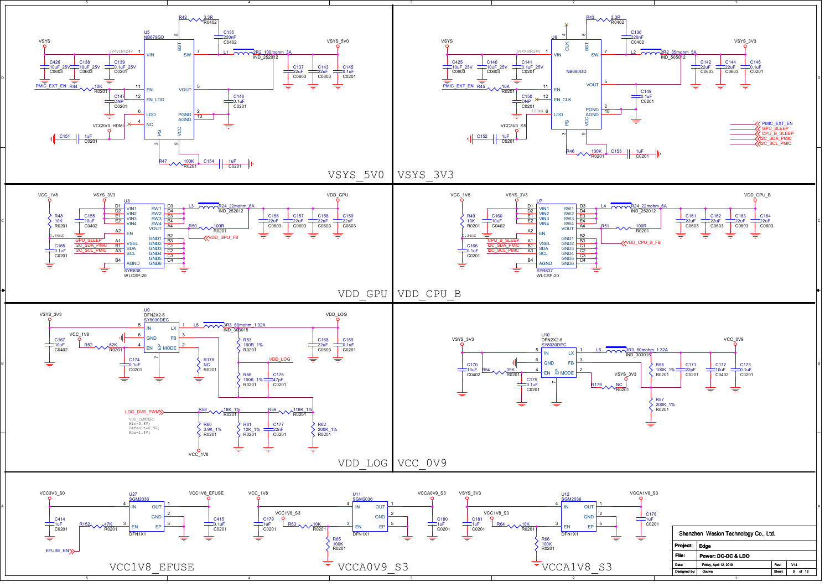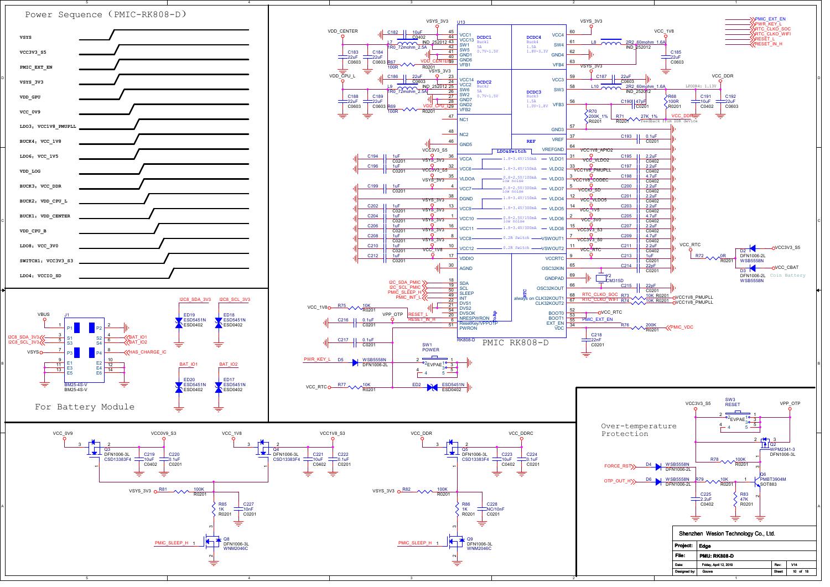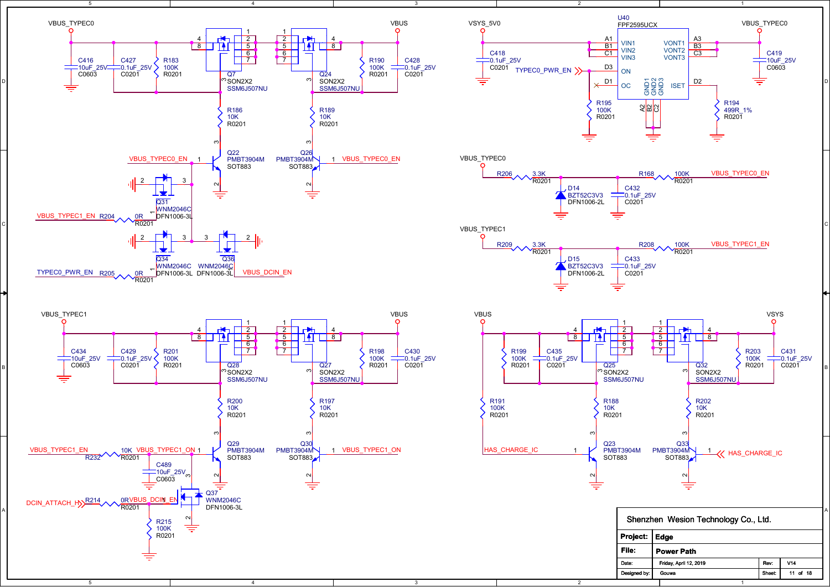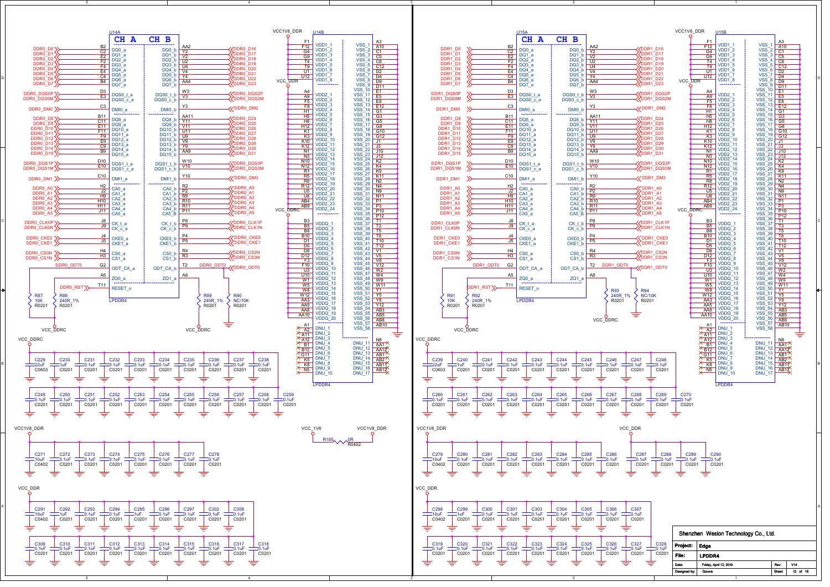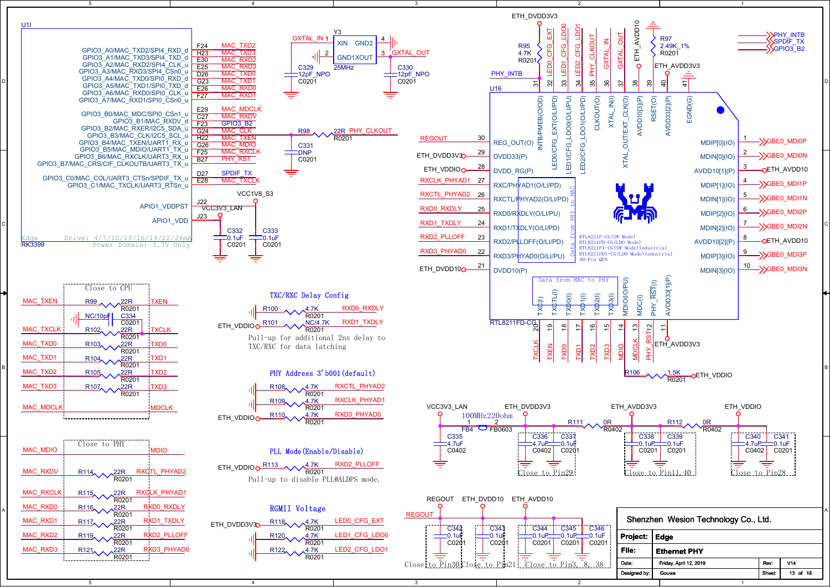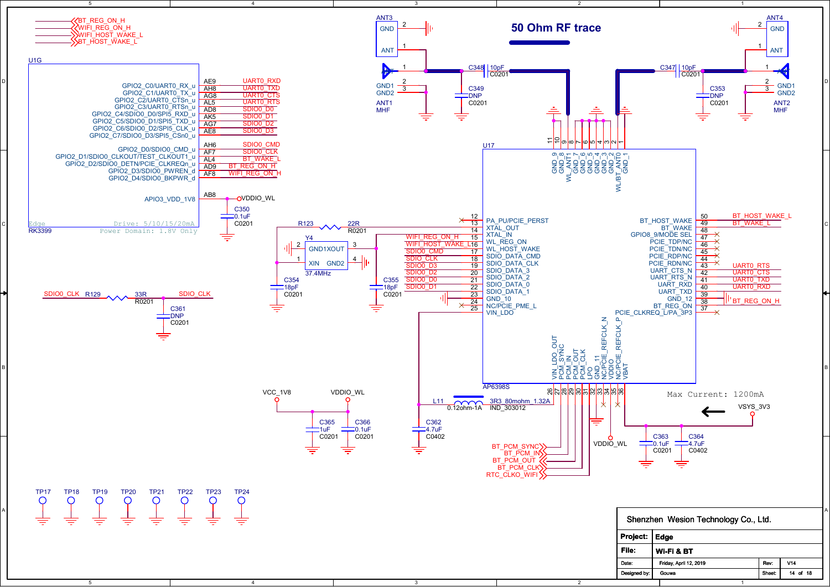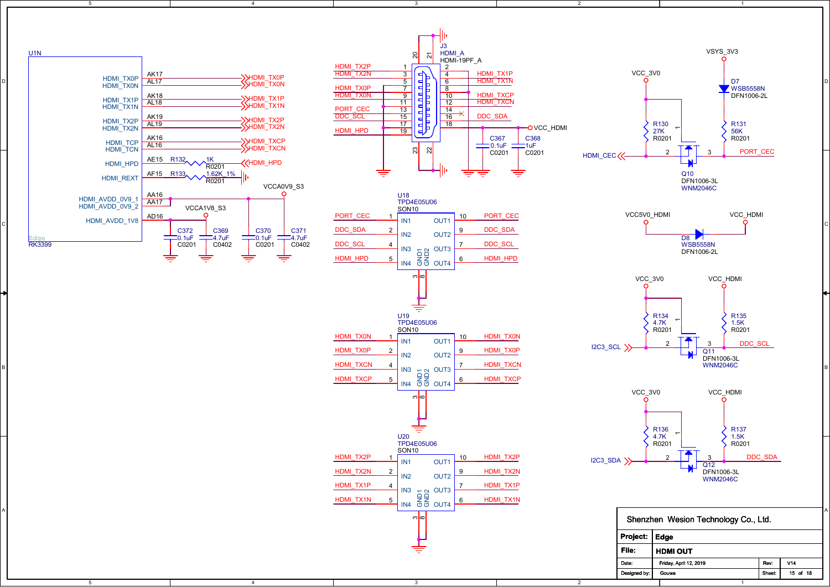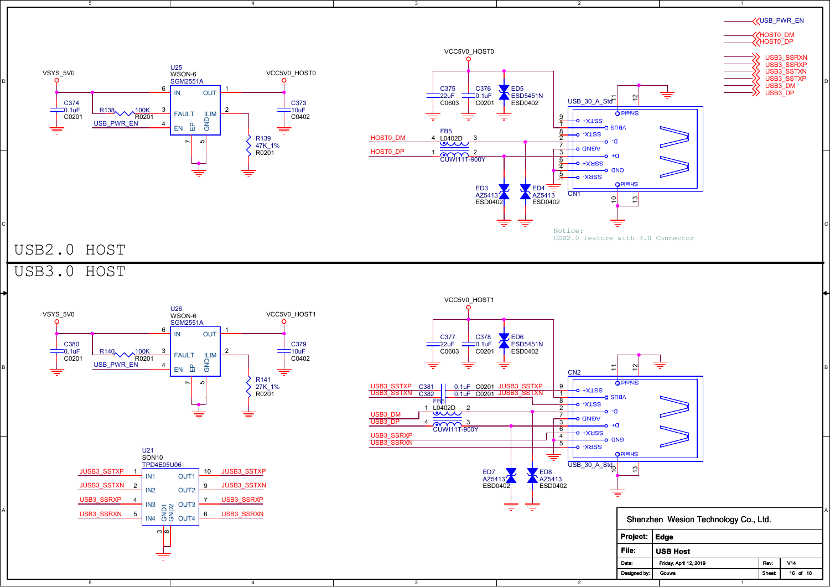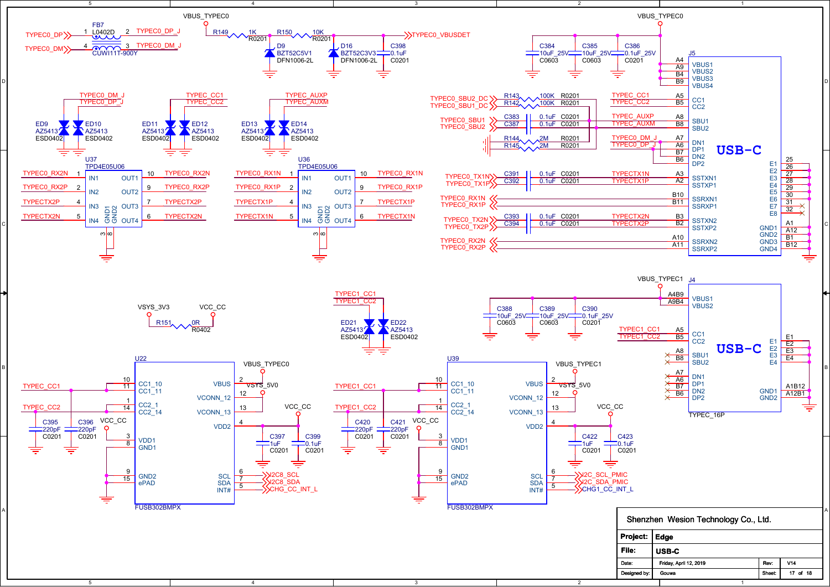